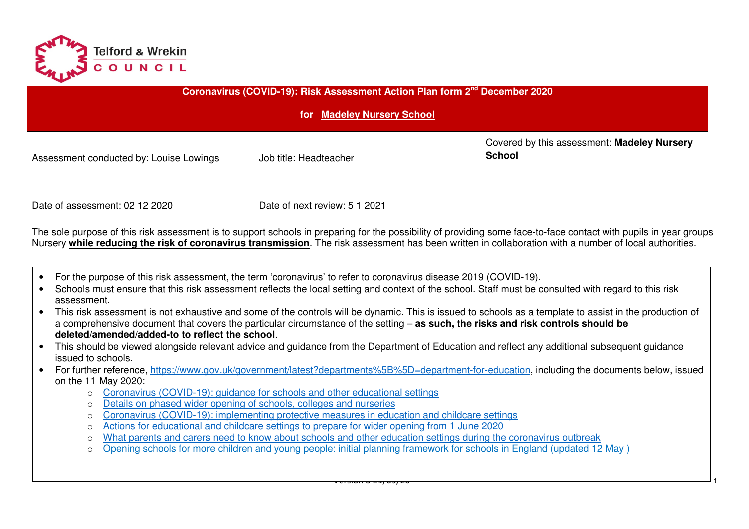

| Coronavirus (COVID-19): Risk Assessment Action Plan form 2 <sup>nd</sup> December 2020<br>for Madeley Nursery School |                        |                                                              |  |  |  |  |  |  |
|----------------------------------------------------------------------------------------------------------------------|------------------------|--------------------------------------------------------------|--|--|--|--|--|--|
| Assessment conducted by: Louise Lowings                                                                              | Job title: Headteacher | Covered by this assessment: Madeley Nursery<br><b>School</b> |  |  |  |  |  |  |
| Date of next review: 5 1 2021<br>Date of assessment: 02 12 2020                                                      |                        |                                                              |  |  |  |  |  |  |

The sole purpose of this risk assessment is to support schools in preparing for the possibility of providing some face-to-face contact with pupils in year groups Nursery **while reducing the risk of coronavirus transmission**. The risk assessment has been written in collaboration with a number of local authorities.

- For the purpose of this risk assessment, the term 'coronavirus' to refer to coronavirus disease 2019 (COVID-19).
- Schools must ensure that this risk assessment reflects the local setting and context of the school. Staff must be consulted with regard to this risk assessment.
- This risk assessment is not exhaustive and some of the controls will be dynamic. This is issued to schools as a template to assist in the production of a comprehensive document that covers the particular circumstance of the setting – **as such, the risks and risk controls should be deleted/amended/added-to to reflect the school**.
- This should be viewed alongside relevant advice and guidance from the Department of Education and reflect any additional subsequent guidance issued to schools.
- For further reference, https://www.gov.uk/government/latest?departments%5B%5D=department-for-education, including the documents below, issued on the 11 May 2020:
	- o Coronavirus (COVID-19): guidance for schools and other educational settings
	- o Details on phased wider opening of schools, colleges and nurseries
	- o Coronavirus (COVID-19): implementing protective measures in education and childcare settings
	- oActions for educational and childcare settings to prepare for wider opening from 1 June 2020
	- oWhat parents and carers need to know about schools and other education settings during the coronavirus outbreak
	- o Opening schools for more children and young people: initial planning framework for schools in England (updated 12 May )

Version 3 21/05/20 1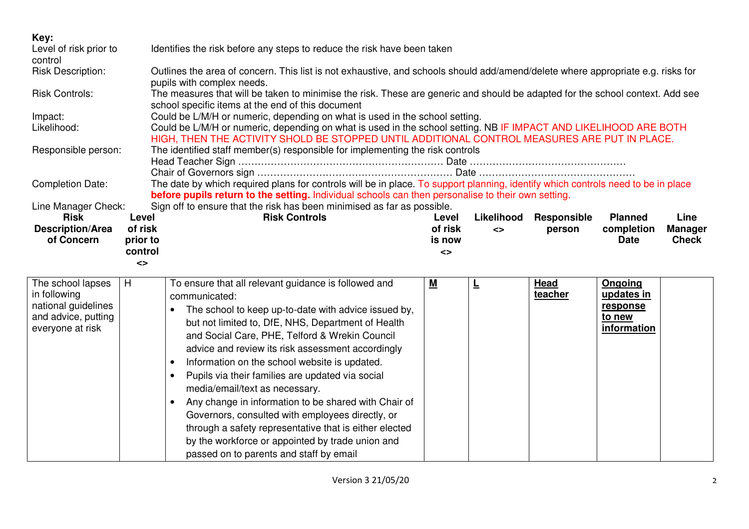| Key:                                                                            |                     |                                                                                                                                                                                                                                        |                   |            |                 |                                             |                                |  |
|---------------------------------------------------------------------------------|---------------------|----------------------------------------------------------------------------------------------------------------------------------------------------------------------------------------------------------------------------------------|-------------------|------------|-----------------|---------------------------------------------|--------------------------------|--|
| Level of risk prior to<br>control                                               |                     | Identifies the risk before any steps to reduce the risk have been taken                                                                                                                                                                |                   |            |                 |                                             |                                |  |
| <b>Risk Description:</b>                                                        |                     | Outlines the area of concern. This list is not exhaustive, and schools should add/amend/delete where appropriate e.g. risks for<br>pupils with complex needs.                                                                          |                   |            |                 |                                             |                                |  |
| <b>Risk Controls:</b>                                                           |                     | The measures that will be taken to minimise the risk. These are generic and should be adapted for the school context. Add see<br>school specific items at the end of this document                                                     |                   |            |                 |                                             |                                |  |
| Impact:                                                                         |                     | Could be L/M/H or numeric, depending on what is used in the school setting.                                                                                                                                                            |                   |            |                 |                                             |                                |  |
| Likelihood:                                                                     |                     | Could be L/M/H or numeric, depending on what is used in the school setting. NB IF IMPACT AND LIKELIHOOD ARE BOTH<br>HIGH, THEN THE ACTIVITY SHOLD BE STOPPED UNTIL ADDITIONAL CONTROL MEASURES ARE PUT IN PLACE.                       |                   |            |                 |                                             |                                |  |
| Responsible person:                                                             |                     | The identified staff member(s) responsible for implementing the risk controls                                                                                                                                                          |                   |            |                 |                                             |                                |  |
| <b>Completion Date:</b>                                                         |                     | The date by which required plans for controls will be in place. To support planning, identify which controls need to be in place<br>before pupils return to the setting. Individual schools can then personalise to their own setting. |                   |            |                 |                                             |                                |  |
| Line Manager Check:                                                             |                     | Sign off to ensure that the risk has been minimised as far as possible.                                                                                                                                                                |                   |            |                 |                                             |                                |  |
| <b>Risk</b>                                                                     | Level               | <b>Risk Controls</b>                                                                                                                                                                                                                   | Level             | Likelihood | Responsible     | <b>Planned</b>                              | Line                           |  |
| <b>Description/Area</b><br>of Concern                                           | of risk<br>prior to |                                                                                                                                                                                                                                        | of risk<br>is now | $\leq$     | person          | completion<br><b>Date</b>                   | <b>Manager</b><br><b>Check</b> |  |
|                                                                                 | control             |                                                                                                                                                                                                                                        | <>                |            |                 |                                             |                                |  |
|                                                                                 | <>                  |                                                                                                                                                                                                                                        |                   |            |                 |                                             |                                |  |
| The school lapses<br>in following<br>national guidelines<br>and advice, putting | H                   | To ensure that all relevant guidance is followed and<br>communicated:<br>The school to keep up-to-date with advice issued by,<br>but not limited to, DfE, NHS, Department of Health                                                    | <u>М</u>          | ╘          | Head<br>teacher | Ongoing<br>updates in<br>response<br>to new |                                |  |
| everyone at risk                                                                |                     | and Social Care, PHE, Telford & Wrekin Council<br>advice and review its risk assessment accordingly                                                                                                                                    |                   |            |                 | information                                 |                                |  |
|                                                                                 |                     | Information on the school website is updated.<br>$\bullet$                                                                                                                                                                             |                   |            |                 |                                             |                                |  |
|                                                                                 |                     | Pupils via their families are updated via social<br>$\bullet$                                                                                                                                                                          |                   |            |                 |                                             |                                |  |
|                                                                                 |                     | media/email/text as necessary.                                                                                                                                                                                                         |                   |            |                 |                                             |                                |  |
|                                                                                 |                     | Any change in information to be shared with Chair of<br>$\bullet$                                                                                                                                                                      |                   |            |                 |                                             |                                |  |
|                                                                                 |                     | Governors, consulted with employees directly, or                                                                                                                                                                                       |                   |            |                 |                                             |                                |  |
|                                                                                 |                     |                                                                                                                                                                                                                                        |                   |            |                 |                                             |                                |  |
|                                                                                 |                     | through a safety representative that is either elected                                                                                                                                                                                 |                   |            |                 |                                             |                                |  |
|                                                                                 |                     | by the workforce or appointed by trade union and<br>passed on to parents and staff by email                                                                                                                                            |                   |            |                 |                                             |                                |  |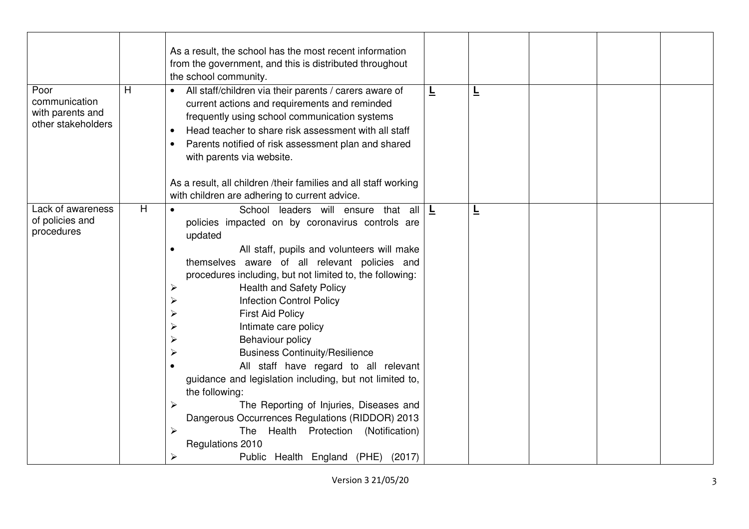| Poor<br>communication<br>with parents and<br>other stakeholders | н | As a result, the school has the most recent information<br>from the government, and this is distributed throughout<br>the school community.<br>All staff/children via their parents / carers aware of<br>current actions and requirements and reminded<br>frequently using school communication systems<br>Head teacher to share risk assessment with all staff<br>Parents notified of risk assessment plan and shared<br>with parents via website.                                                                                                                                                                                                                                                                                                                                              | Ē            | ╘ |  |  |
|-----------------------------------------------------------------|---|--------------------------------------------------------------------------------------------------------------------------------------------------------------------------------------------------------------------------------------------------------------------------------------------------------------------------------------------------------------------------------------------------------------------------------------------------------------------------------------------------------------------------------------------------------------------------------------------------------------------------------------------------------------------------------------------------------------------------------------------------------------------------------------------------|--------------|---|--|--|
|                                                                 |   | As a result, all children /their families and all staff working<br>with children are adhering to current advice.                                                                                                                                                                                                                                                                                                                                                                                                                                                                                                                                                                                                                                                                                 |              |   |  |  |
| Lack of awareness<br>of policies and<br>procedures              | H | School leaders will ensure that all<br>$\bullet$<br>policies impacted on by coronavirus controls are<br>updated<br>All staff, pupils and volunteers will make<br>themselves aware of all relevant policies and<br>procedures including, but not limited to, the following:<br><b>Health and Safety Policy</b><br>≻<br><b>Infection Control Policy</b><br><b>First Aid Policy</b><br>Intimate care policy<br>Behaviour policy<br><b>Business Continuity/Resilience</b><br>All staff have regard to all relevant<br>guidance and legislation including, but not limited to,<br>the following:<br>The Reporting of Injuries, Diseases and<br>➤<br>Dangerous Occurrences Regulations (RIDDOR) 2013<br>The Health Protection (Notification)<br>Regulations 2010<br>Public Health England (PHE) (2017) | $\mathbf{L}$ | L |  |  |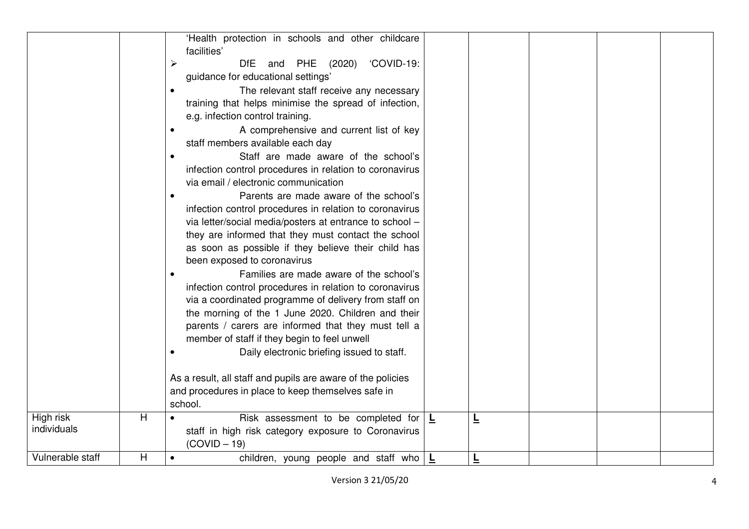|                          |   | 'Health protection in schools and other childcare<br>facilities'      |   |   |  |  |
|--------------------------|---|-----------------------------------------------------------------------|---|---|--|--|
|                          |   | 'COVID-19:<br>$\blacktriangleright$<br><b>DfE</b><br>and PHE (2020)   |   |   |  |  |
|                          |   | guidance for educational settings'                                    |   |   |  |  |
|                          |   | The relevant staff receive any necessary<br>$\bullet$                 |   |   |  |  |
|                          |   | training that helps minimise the spread of infection,                 |   |   |  |  |
|                          |   | e.g. infection control training.                                      |   |   |  |  |
|                          |   | A comprehensive and current list of key<br>$\bullet$                  |   |   |  |  |
|                          |   | staff members available each day                                      |   |   |  |  |
|                          |   | Staff are made aware of the school's                                  |   |   |  |  |
|                          |   | infection control procedures in relation to coronavirus               |   |   |  |  |
|                          |   | via email / electronic communication                                  |   |   |  |  |
|                          |   | Parents are made aware of the school's<br>$\bullet$                   |   |   |  |  |
|                          |   | infection control procedures in relation to coronavirus               |   |   |  |  |
|                          |   | via letter/social media/posters at entrance to school -               |   |   |  |  |
|                          |   | they are informed that they must contact the school                   |   |   |  |  |
|                          |   | as soon as possible if they believe their child has                   |   |   |  |  |
|                          |   | been exposed to coronavirus                                           |   |   |  |  |
|                          |   | Families are made aware of the school's                               |   |   |  |  |
|                          |   | infection control procedures in relation to coronavirus               |   |   |  |  |
|                          |   | via a coordinated programme of delivery from staff on                 |   |   |  |  |
|                          |   | the morning of the 1 June 2020. Children and their                    |   |   |  |  |
|                          |   | parents / carers are informed that they must tell a                   |   |   |  |  |
|                          |   | member of staff if they begin to feel unwell                          |   |   |  |  |
|                          |   | Daily electronic briefing issued to staff.                            |   |   |  |  |
|                          |   |                                                                       |   |   |  |  |
|                          |   | As a result, all staff and pupils are aware of the policies           |   |   |  |  |
|                          |   | and procedures in place to keep themselves safe in                    |   |   |  |  |
|                          |   | school.                                                               |   |   |  |  |
| High risk<br>individuals | Η | Risk assessment to be completed for                                   | L | 느 |  |  |
|                          |   | staff in high risk category exposure to Coronavirus<br>$(COVID - 19)$ |   |   |  |  |
| Vulnerable staff         | Η | children, young people and staff who $\mathbf{L}$<br>$\bullet$        |   | 느 |  |  |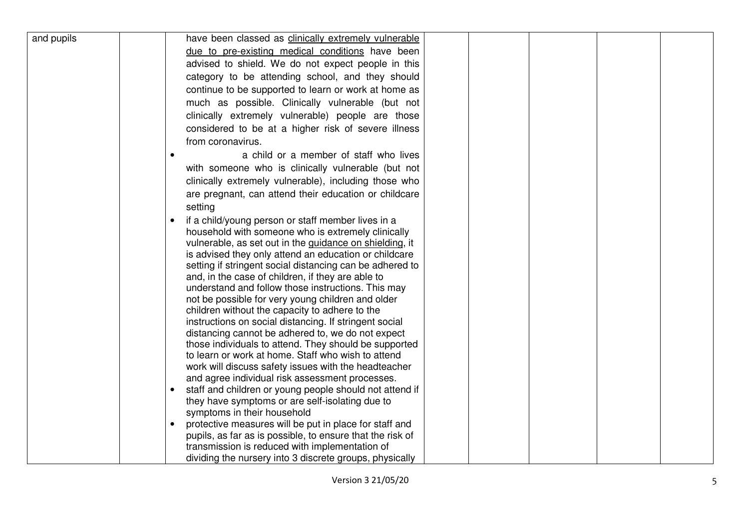| and pupils | have been classed as clinically extremely vulnerable                                                    |
|------------|---------------------------------------------------------------------------------------------------------|
|            | due to pre-existing medical conditions have been                                                        |
|            | advised to shield. We do not expect people in this                                                      |
|            | category to be attending school, and they should                                                        |
|            | continue to be supported to learn or work at home as                                                    |
|            | much as possible. Clinically vulnerable (but not                                                        |
|            | clinically extremely vulnerable) people are those                                                       |
|            | considered to be at a higher risk of severe illness                                                     |
|            | from coronavirus.                                                                                       |
|            | a child or a member of staff who lives<br>$\bullet$                                                     |
|            |                                                                                                         |
|            | with someone who is clinically vulnerable (but not                                                      |
|            | clinically extremely vulnerable), including those who                                                   |
|            | are pregnant, can attend their education or childcare                                                   |
|            | setting                                                                                                 |
|            | if a child/young person or staff member lives in a                                                      |
|            | household with someone who is extremely clinically                                                      |
|            | vulnerable, as set out in the guidance on shielding, it                                                 |
|            | is advised they only attend an education or childcare                                                   |
|            | setting if stringent social distancing can be adhered to                                                |
|            | and, in the case of children, if they are able to<br>understand and follow those instructions. This may |
|            | not be possible for very young children and older                                                       |
|            | children without the capacity to adhere to the                                                          |
|            | instructions on social distancing. If stringent social                                                  |
|            | distancing cannot be adhered to, we do not expect                                                       |
|            | those individuals to attend. They should be supported                                                   |
|            | to learn or work at home. Staff who wish to attend                                                      |
|            | work will discuss safety issues with the headteacher                                                    |
|            | and agree individual risk assessment processes.                                                         |
|            | staff and children or young people should not attend if                                                 |
|            | they have symptoms or are self-isolating due to                                                         |
|            | symptoms in their household                                                                             |
|            | protective measures will be put in place for staff and                                                  |
|            | pupils, as far as is possible, to ensure that the risk of                                               |
|            | transmission is reduced with implementation of                                                          |
|            | dividing the nursery into 3 discrete groups, physically                                                 |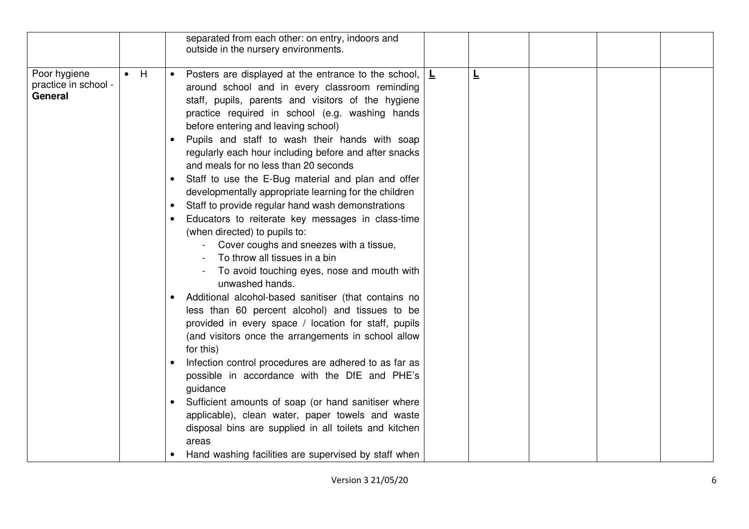|                                                 |             | separated from each other: on entry, indoors and<br>outside in the nursery environments.                                                                                                                                                                                                                                                                                                                                                                                                                                                                                                                                                                                                                                                                                                                                                                                                                                                                                                                                                                                                                                                                                                                                                                                                                                                                                                                             |          |
|-------------------------------------------------|-------------|----------------------------------------------------------------------------------------------------------------------------------------------------------------------------------------------------------------------------------------------------------------------------------------------------------------------------------------------------------------------------------------------------------------------------------------------------------------------------------------------------------------------------------------------------------------------------------------------------------------------------------------------------------------------------------------------------------------------------------------------------------------------------------------------------------------------------------------------------------------------------------------------------------------------------------------------------------------------------------------------------------------------------------------------------------------------------------------------------------------------------------------------------------------------------------------------------------------------------------------------------------------------------------------------------------------------------------------------------------------------------------------------------------------------|----------|
| Poor hygiene<br>practice in school -<br>General | $\bullet$ H | Posters are displayed at the entrance to the school,<br>around school and in every classroom reminding<br>staff, pupils, parents and visitors of the hygiene<br>practice required in school (e.g. washing hands<br>before entering and leaving school)<br>Pupils and staff to wash their hands with soap<br>regularly each hour including before and after snacks<br>and meals for no less than 20 seconds<br>Staff to use the E-Bug material and plan and offer<br>developmentally appropriate learning for the children<br>Staff to provide regular hand wash demonstrations<br>Educators to reiterate key messages in class-time<br>(when directed) to pupils to:<br>Cover coughs and sneezes with a tissue,<br>To throw all tissues in a bin<br>To avoid touching eyes, nose and mouth with<br>unwashed hands.<br>Additional alcohol-based sanitiser (that contains no<br>less than 60 percent alcohol) and tissues to be<br>provided in every space / location for staff, pupils<br>(and visitors once the arrangements in school allow<br>for this)<br>Infection control procedures are adhered to as far as<br>possible in accordance with the DfE and PHE's<br>guidance<br>Sufficient amounts of soap (or hand sanitiser where<br>applicable), clean water, paper towels and waste<br>disposal bins are supplied in all toilets and kitchen<br>areas<br>Hand washing facilities are supervised by staff when | Ē<br>▕▕▙ |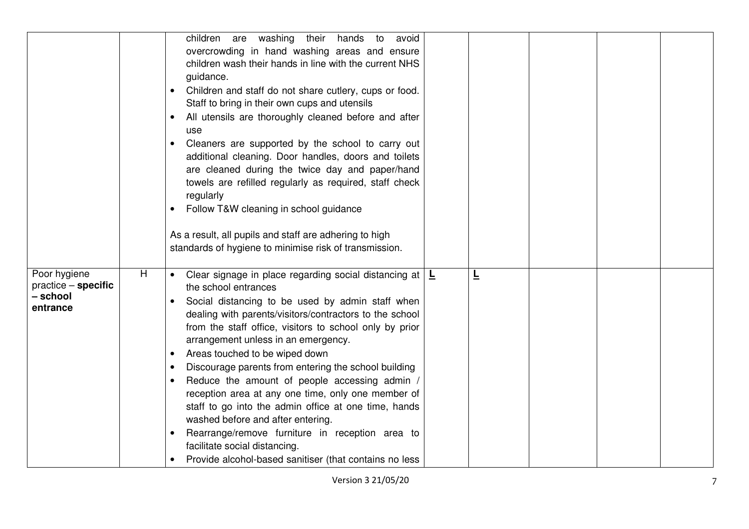|                                                             |    | children are washing their<br>hands to<br>avoid<br>overcrowding in hand washing areas and ensure<br>children wash their hands in line with the current NHS<br>guidance.<br>Children and staff do not share cutlery, cups or food.<br>Staff to bring in their own cups and utensils<br>All utensils are thoroughly cleaned before and after<br>use<br>Cleaners are supported by the school to carry out<br>additional cleaning. Door handles, doors and toilets<br>are cleaned during the twice day and paper/hand<br>towels are refilled regularly as required, staff check<br>regularly<br>Follow T&W cleaning in school guidance<br>As a result, all pupils and staff are adhering to high<br>standards of hygiene to minimise risk of transmission.                                      |   |  |  |
|-------------------------------------------------------------|----|---------------------------------------------------------------------------------------------------------------------------------------------------------------------------------------------------------------------------------------------------------------------------------------------------------------------------------------------------------------------------------------------------------------------------------------------------------------------------------------------------------------------------------------------------------------------------------------------------------------------------------------------------------------------------------------------------------------------------------------------------------------------------------------------|---|--|--|
| Poor hygiene<br>practice - specific<br>– school<br>entrance | H. | Clear signage in place regarding social distancing at $\vert \underline{\mathsf{L}}\vert$<br>$\bullet$<br>the school entrances<br>Social distancing to be used by admin staff when<br>dealing with parents/visitors/contractors to the school<br>from the staff office, visitors to school only by prior<br>arrangement unless in an emergency.<br>Areas touched to be wiped down<br>Discourage parents from entering the school building<br>Reduce the amount of people accessing admin /<br>reception area at any one time, only one member of<br>staff to go into the admin office at one time, hands<br>washed before and after entering.<br>Rearrange/remove furniture in reception area to<br>facilitate social distancing.<br>Provide alcohol-based sanitiser (that contains no less | ╚ |  |  |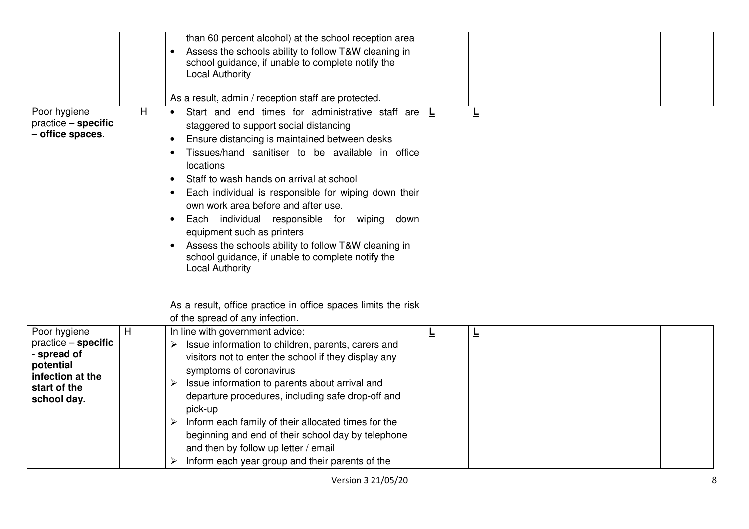|                                                                                                                      |   | than 60 percent alcohol) at the school reception area                                                                                                                                                                                                                                                                                                                                                                                                                                                                                                                                                   |   |   |  |  |
|----------------------------------------------------------------------------------------------------------------------|---|---------------------------------------------------------------------------------------------------------------------------------------------------------------------------------------------------------------------------------------------------------------------------------------------------------------------------------------------------------------------------------------------------------------------------------------------------------------------------------------------------------------------------------------------------------------------------------------------------------|---|---|--|--|
|                                                                                                                      |   | Assess the schools ability to follow T&W cleaning in<br>$\bullet$<br>school guidance, if unable to complete notify the<br><b>Local Authority</b>                                                                                                                                                                                                                                                                                                                                                                                                                                                        |   |   |  |  |
|                                                                                                                      |   | As a result, admin / reception staff are protected.                                                                                                                                                                                                                                                                                                                                                                                                                                                                                                                                                     |   |   |  |  |
| Poor hygiene<br>$practive - specific$<br>- office spaces.                                                            | H | Start and end times for administrative staff are L<br>staggered to support social distancing<br>Ensure distancing is maintained between desks<br>$\bullet$<br>Tissues/hand sanitiser to be available in office<br>locations<br>Staff to wash hands on arrival at school<br>Each individual is responsible for wiping down their<br>own work area before and after use.<br>Each individual responsible for wiping down<br>equipment such as printers<br>Assess the schools ability to follow T&W cleaning in<br>$\bullet$<br>school guidance, if unable to complete notify the<br><b>Local Authority</b> |   | ╘ |  |  |
|                                                                                                                      |   | As a result, office practice in office spaces limits the risk<br>of the spread of any infection.                                                                                                                                                                                                                                                                                                                                                                                                                                                                                                        |   |   |  |  |
| Poor hygiene<br>$practive - specific$<br>- spread of<br>potential<br>infection at the<br>start of the<br>school day. | H | In line with government advice:<br>Issue information to children, parents, carers and<br>visitors not to enter the school if they display any<br>symptoms of coronavirus<br>Issue information to parents about arrival and<br>departure procedures, including safe drop-off and<br>pick-up<br>Inform each family of their allocated times for the<br>➤<br>beginning and end of their school day by telephone                                                                                                                                                                                            | ╘ | 트 |  |  |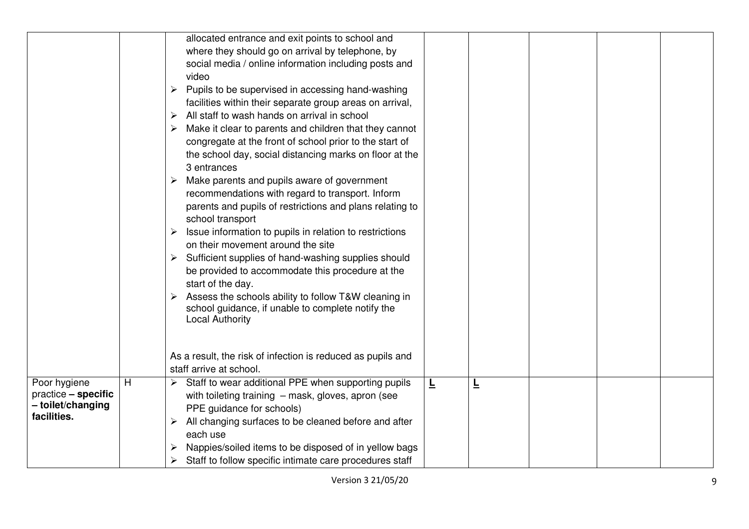|                                                                         |   | allocated entrance and exit points to school and<br>where they should go on arrival by telephone, by<br>social media / online information including posts and<br>video<br>Pupils to be supervised in accessing hand-washing<br>facilities within their separate group areas on arrival,<br>$\triangleright$ All staff to wash hands on arrival in school<br>Make it clear to parents and children that they cannot<br>congregate at the front of school prior to the start of<br>the school day, social distancing marks on floor at the<br>3 entrances<br>Make parents and pupils aware of government<br>➤<br>recommendations with regard to transport. Inform<br>parents and pupils of restrictions and plans relating to<br>school transport<br>Issue information to pupils in relation to restrictions<br>on their movement around the site<br>Sufficient supplies of hand-washing supplies should<br>➤<br>be provided to accommodate this procedure at the<br>start of the day.<br>Assess the schools ability to follow T&W cleaning in<br>school guidance, if unable to complete notify the<br><b>Local Authority</b> |   |   |  |  |
|-------------------------------------------------------------------------|---|-----------------------------------------------------------------------------------------------------------------------------------------------------------------------------------------------------------------------------------------------------------------------------------------------------------------------------------------------------------------------------------------------------------------------------------------------------------------------------------------------------------------------------------------------------------------------------------------------------------------------------------------------------------------------------------------------------------------------------------------------------------------------------------------------------------------------------------------------------------------------------------------------------------------------------------------------------------------------------------------------------------------------------------------------------------------------------------------------------------------------------|---|---|--|--|
|                                                                         |   | As a result, the risk of infection is reduced as pupils and<br>staff arrive at school.                                                                                                                                                                                                                                                                                                                                                                                                                                                                                                                                                                                                                                                                                                                                                                                                                                                                                                                                                                                                                                      |   |   |  |  |
| Poor hygiene<br>practice - specific<br>- toilet/changing<br>facilities. | H | Staff to wear additional PPE when supporting pupils<br>➤<br>with toileting training - mask, gloves, apron (see<br>PPE guidance for schools)<br>All changing surfaces to be cleaned before and after<br>each use<br>Nappies/soiled items to be disposed of in yellow bags<br>Staff to follow specific intimate care procedures staff<br>➤                                                                                                                                                                                                                                                                                                                                                                                                                                                                                                                                                                                                                                                                                                                                                                                    | 느 | ╘ |  |  |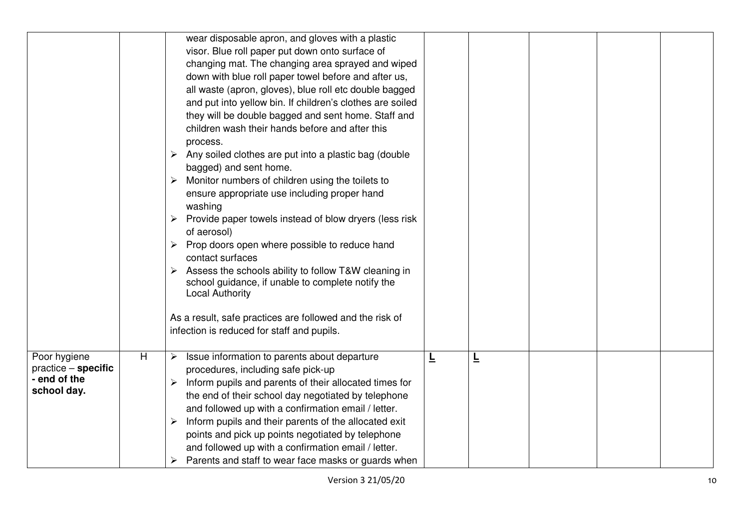|                                                                      |   | wear disposable apron, and gloves with a plastic<br>visor. Blue roll paper put down onto surface of<br>changing mat. The changing area sprayed and wiped<br>down with blue roll paper towel before and after us,<br>all waste (apron, gloves), blue roll etc double bagged<br>and put into yellow bin. If children's clothes are soiled<br>they will be double bagged and sent home. Staff and<br>children wash their hands before and after this<br>process.<br>Any soiled clothes are put into a plastic bag (double<br>≻<br>bagged) and sent home.<br>Monitor numbers of children using the toilets to<br>≻<br>ensure appropriate use including proper hand<br>washing<br>Provide paper towels instead of blow dryers (less risk<br>of aerosol)<br>Prop doors open where possible to reduce hand<br>➤<br>contact surfaces<br>Assess the schools ability to follow T&W cleaning in<br>➤<br>school guidance, if unable to complete notify the<br><b>Local Authority</b><br>As a result, safe practices are followed and the risk of<br>infection is reduced for staff and pupils. |   |   |  |  |
|----------------------------------------------------------------------|---|------------------------------------------------------------------------------------------------------------------------------------------------------------------------------------------------------------------------------------------------------------------------------------------------------------------------------------------------------------------------------------------------------------------------------------------------------------------------------------------------------------------------------------------------------------------------------------------------------------------------------------------------------------------------------------------------------------------------------------------------------------------------------------------------------------------------------------------------------------------------------------------------------------------------------------------------------------------------------------------------------------------------------------------------------------------------------------|---|---|--|--|
| Poor hygiene<br>$practive - specific$<br>- end of the<br>school day. | H | Issue information to parents about departure<br>➤<br>procedures, including safe pick-up<br>Inform pupils and parents of their allocated times for<br>➤<br>the end of their school day negotiated by telephone<br>and followed up with a confirmation email / letter.<br>Inform pupils and their parents of the allocated exit<br>➤<br>points and pick up points negotiated by telephone<br>and followed up with a confirmation email / letter.<br>Parents and staff to wear face masks or guards when                                                                                                                                                                                                                                                                                                                                                                                                                                                                                                                                                                              | ╘ | ╘ |  |  |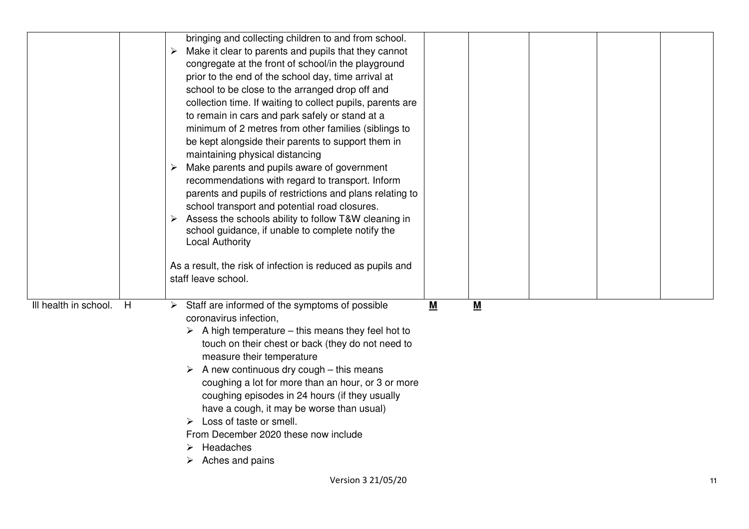|                       |   | bringing and collecting children to and from school.              |           |   |  |    |
|-----------------------|---|-------------------------------------------------------------------|-----------|---|--|----|
|                       |   | Make it clear to parents and pupils that they cannot<br>➤         |           |   |  |    |
|                       |   | congregate at the front of school/in the playground               |           |   |  |    |
|                       |   | prior to the end of the school day, time arrival at               |           |   |  |    |
|                       |   | school to be close to the arranged drop off and                   |           |   |  |    |
|                       |   | collection time. If waiting to collect pupils, parents are        |           |   |  |    |
|                       |   | to remain in cars and park safely or stand at a                   |           |   |  |    |
|                       |   | minimum of 2 metres from other families (siblings to              |           |   |  |    |
|                       |   | be kept alongside their parents to support them in                |           |   |  |    |
|                       |   | maintaining physical distancing                                   |           |   |  |    |
|                       |   | Make parents and pupils aware of government<br>➤                  |           |   |  |    |
|                       |   | recommendations with regard to transport. Inform                  |           |   |  |    |
|                       |   | parents and pupils of restrictions and plans relating to          |           |   |  |    |
|                       |   | school transport and potential road closures.                     |           |   |  |    |
|                       |   | Assess the schools ability to follow T&W cleaning in              |           |   |  |    |
|                       |   | school guidance, if unable to complete notify the                 |           |   |  |    |
|                       |   | <b>Local Authority</b>                                            |           |   |  |    |
|                       |   |                                                                   |           |   |  |    |
|                       |   | As a result, the risk of infection is reduced as pupils and       |           |   |  |    |
|                       |   | staff leave school.                                               |           |   |  |    |
|                       |   |                                                                   |           |   |  |    |
| Ill health in school. | H | $\triangleright$ Staff are informed of the symptoms of possible   | ${\bf M}$ | M |  |    |
|                       |   | coronavirus infection,                                            |           |   |  |    |
|                       |   | $\triangleright$ A high temperature – this means they feel hot to |           |   |  |    |
|                       |   | touch on their chest or back (they do not need to                 |           |   |  |    |
|                       |   | measure their temperature                                         |           |   |  |    |
|                       |   | A new continuous dry cough - this means                           |           |   |  |    |
|                       |   |                                                                   |           |   |  |    |
|                       |   | coughing a lot for more than an hour, or 3 or more                |           |   |  |    |
|                       |   | coughing episodes in 24 hours (if they usually                    |           |   |  |    |
|                       |   | have a cough, it may be worse than usual)                         |           |   |  |    |
|                       |   | Loss of taste or smell.                                           |           |   |  |    |
|                       |   | From December 2020 these now include                              |           |   |  |    |
|                       |   | Headaches                                                         |           |   |  |    |
|                       |   | Aches and pains                                                   |           |   |  |    |
|                       |   | Version 3 21/05/20                                                |           |   |  | 11 |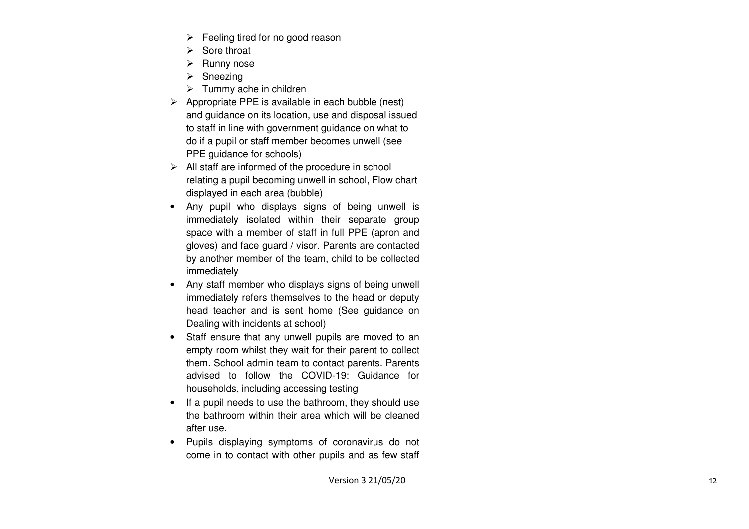- $\triangleright$  Feeling tired for no good reason
- $\triangleright$  Sore throat
- $\triangleright$  Runny nose
- $\triangleright$  Sneezing
- > Tummy ache in children
- $\triangleright$  Appropriate PPE is available in each bubble (nest) and guidance on its location, use and disposal issued to staff in line with government guidance on what to do if a pupil or staff member becomes unwell (see PPE guidance for schools)
- $\triangleright$  All staff are informed of the procedure in school relating a pupil becoming unwell in school, Flow chart displayed in each area (bubble)
- Any pupil who displays signs of being unwell is immediately isolated within their separate group space with a member of staff in full PPE (apron and gloves) and face guard / visor. Parents are contacted by another member of the team, child to be collected immediately
- Any staff member who displays signs of being unwell immediately refers themselves to the head or deputy head teacher and is sent home (See guidance on Dealing with incidents at school)
- Staff ensure that any unwell pupils are moved to an empty room whilst they wait for their parent to collect them. School admin team to contact parents. Parents advised to follow the COVID-19: Guidance for households, including accessing testing
- If a pupil needs to use the bathroom, they should use the bathroom within their area which will be cleaned after use.
- Pupils displaying symptoms of coronavirus do not come in to contact with other pupils and as few staff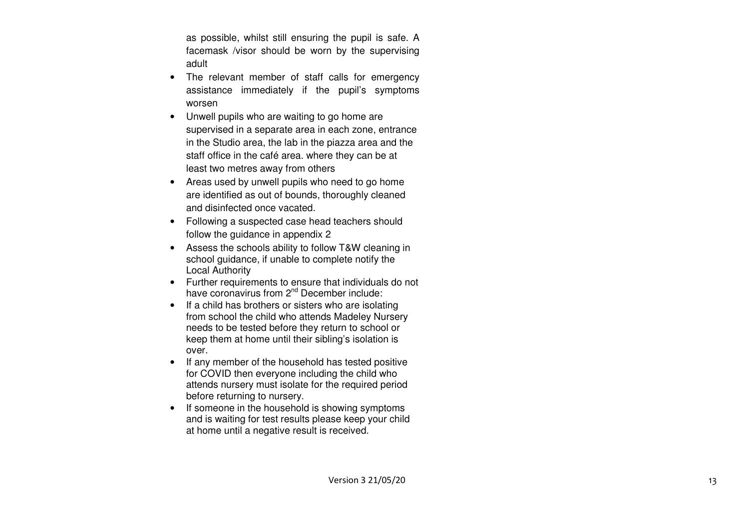as possible, whilst still ensuring the pupil is safe. A facemask /visor should be worn by the supervising adult

- The relevant member of staff calls for emergency assistance immediately if the pupil's symptoms worsen
- Unwell pupils who are waiting to go home are supervised in a separate area in each zone, entrance in the Studio area, the lab in the piazza area and the staff office in the café area. where they can be atleast two metres away from others
- Areas used by unwell pupils who need to go home are identified as out of bounds, thoroughly cleanedand disinfected once vacated.
- Following a suspected case head teachers should follow the guidance in appendix 2
- Assess the schools ability to follow T&W cleaning in school guidance, if unable to complete notify the Local Authority
- Further requirements to ensure that individuals do not have coronavirus from 2<sup>nd</sup> December include:
- If a child has brothers or sisters who are isolating from school the child who attends Madeley Nursery needs to be tested before they return to school or keep them at home until their sibling's isolation is over.
- If any member of the household has tested positivefor COVID then everyone including the child who attends nursery must isolate for the required period before returning to nursery.
- If someone in the household is showing symptoms and is waiting for test results please keep your child at home until a negative result is received.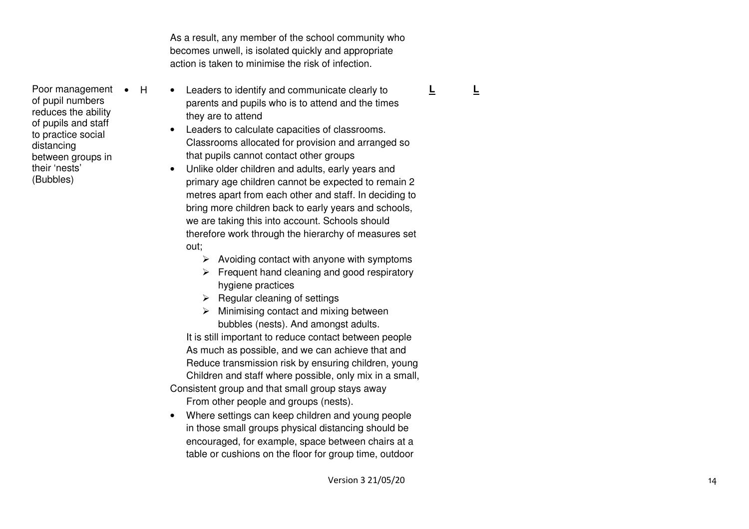As a result, any member of the school community whobecomes unwell, is isolated quickly and appropriateaction is taken to minimise the risk of infection.

- Poor management H of pupil numbers reduces the ability of pupils and staff to practice social distancing between groups in their 'nests' (Bubbles)
- Leaders to identify and communicate clearly to parents and pupils who is to attend and the times they are to attend
- Leaders to calculate capacities of classrooms. Classrooms allocated for provision and arranged so that pupils cannot contact other groups
- Unlike older children and adults, early years and primary age children cannot be expected to remain 2 metres apart from each other and staff. In deciding to bring more children back to early years and schools, we are taking this into account. Schools should therefore work through the hierarchy of measures set out;
	- $\triangleright$  Avoiding contact with anyone with symptoms
	- $\triangleright$  Frequent hand cleaning and good respiratory hygiene practices
	- $\triangleright$  Regular cleaning of settings
	- $\triangleright$  Minimising contact and mixing between bubbles (nests). And amongst adults.

 It is still important to reduce contact between people As much as possible, and we can achieve that and Reduce transmission risk by ensuring children, young Children and staff where possible, only mix in a small, Consistent group and that small group stays away

- From other people and groups (nests).
- Where settings can keep children and young people in those small groups physical distancing should be encouraged, for example, space between chairs at a table or cushions on the floor for group time, outdoor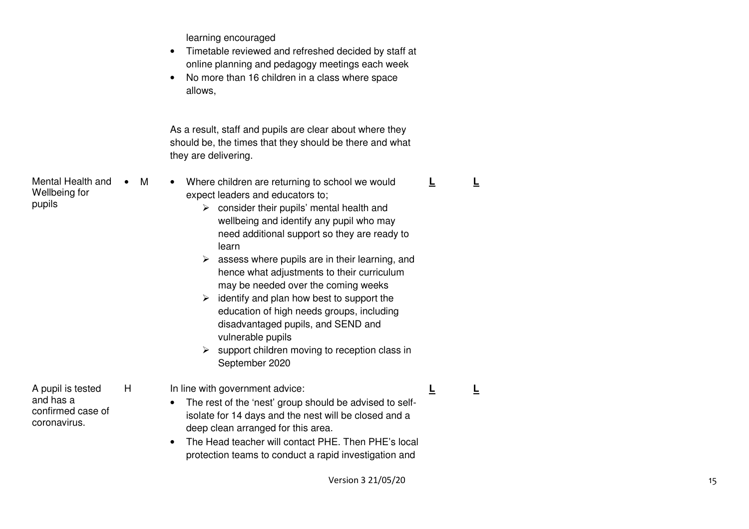learning encouraged

- Timetable reviewed and refreshed decided by staff at online planning and pedagogy meetings each week
- No more than 16 children in a class where space allows,

As a result, staff and pupils are clear about where they should be, the times that they should be there and what they are delivering.

Mental Health and Wellbeing for pupils M • Where children are returning to school we would expect leaders and educators to;  $\triangleright$  consider their pupils' mental health and wellbeing and identify any pupil who may need additional support so they are ready to learn  $\triangleright$  assess where pupils are in their learning, and hence what adjustments to their curriculum may be needed over the coming weeks  $\geq$  identify and plan how best to support the education of high needs groups, including disadvantaged pupils, and SEND and vulnerable pupils  $\triangleright$  support children moving to reception class in September 2020 **L L**A pupil is tested and has a confirmed case of coronavirus. H In line with government advice: • The rest of the 'nest' group should be advised to selfisolate for 14 days and the nest will be closed and a deep clean arranged for this area. • The Head teacher will contact PHE. Then PHE's local protection teams to conduct a rapid investigation and **L L**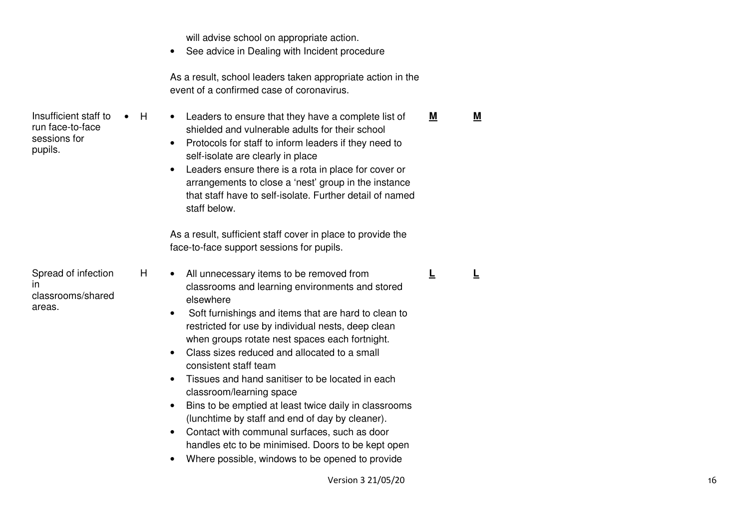will advise school on appropriate action.

Insufficient staff to run face-to-face sessions for pupils.

Spread of infection

classrooms/shared

in

areas.

• See advice in Dealing with Incident procedure

As a result, school leaders taken appropriate action in the event of a confirmed case of coronavirus.

• H • Leaders to ensure that they have a complete list of shielded and vulnerable adults for their school • Protocols for staff to inform leaders if they need to self-isolate are clearly in place • Leaders ensure there is a rota in place for cover or arrangements to close a 'nest' group in the instance that staff have to self-isolate. Further detail of named staff below. **M M**

> As a result, sufficient staff cover in place to provide the face-to-face support sessions for pupils.

- H All unnecessary items to be removed from classrooms and learning environments and stored elsewhere
	- Soft furnishings and items that are hard to clean to restricted for use by individual nests, deep clean when groups rotate nest spaces each fortnight.
	- Class sizes reduced and allocated to a small consistent staff team
	- Tissues and hand sanitiser to be located in each classroom/learning space
	- Bins to be emptied at least twice daily in classrooms (lunchtime by staff and end of day by cleaner).
	- Contact with communal surfaces, such as door handles etc to be minimised. Doors to be kept open
	- Where possible, windows to be opened to provide

**L L**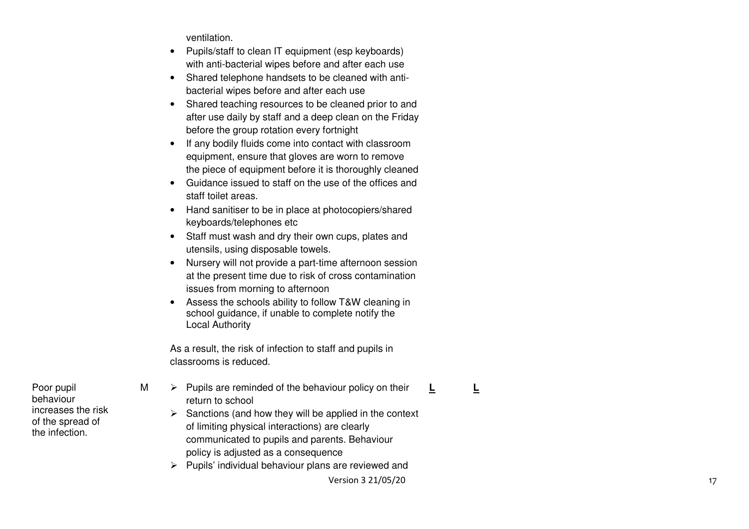ventilation.

- Pupils/staff to clean IT equipment (esp keyboards)with anti-bacterial wipes before and after each use
- Shared telephone handsets to be cleaned with antibacterial wipes before and after each use
- Shared teaching resources to be cleaned prior to and after use daily by staff and a deep clean on the Friday before the group rotation every fortnight
- If any bodily fluids come into contact with classroom equipment, ensure that gloves are worn to remove the piece of equipment before it is thoroughly cleaned
- Guidance issued to staff on the use of the offices and staff toilet areas.
- Hand sanitiser to be in place at photocopiers/shared keyboards/telephones etc
- Staff must wash and dry their own cups, plates andutensils, using disposable towels.
- Nursery will not provide a part-time afternoon session at the present time due to risk of cross contamination issues from morning to afternoon
- Assess the schools ability to follow T&W cleaning in school guidance, if unable to complete notify the Local Authority

As a result, the risk of infection to staff and pupils in classrooms is reduced.

- $M \rightarrow$  Pupils are reminded of the behaviour policy on their return to school
- **L L**
- $\triangleright$  Sanctions (and how they will be applied in the context of limiting physical interactions) are clearly communicated to pupils and parents. Behaviour policy is adjusted as a consequence
- $\triangleright$  Pupils' individual behaviour plans are reviewed and

Poor pupil behaviour increases the risk of the spread of the infection.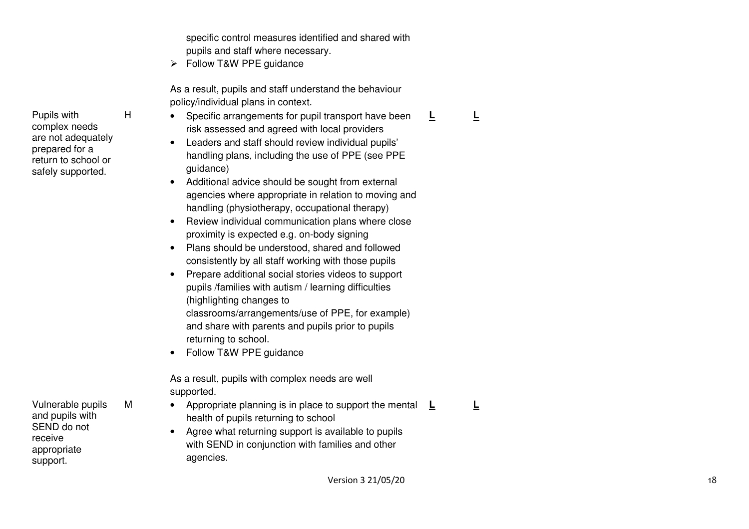specific control measures identified and shared with pupils and staff where necessary.

 $\triangleright$  Follow T&W PPE quidance

As a result, pupils and staff understand the behaviour policy/individual plans in context.

- H Specific arrangements for pupil transport have been risk assessed and agreed with local providers
	- Leaders and staff should review individual pupils'handling plans, including the use of PPE (see PPE guidance)
	- Additional advice should be sought from external agencies where appropriate in relation to moving and handling (physiotherapy, occupational therapy)
	- Review individual communication plans where close proximity is expected e.g. on-body signing
	- Plans should be understood, shared and followed consistently by all staff working with those pupils
	- Prepare additional social stories videos to support pupils /families with autism / learning difficulties (highlighting changes to classrooms/arrangements/use of PPE, for example) and share with parents and pupils prior to pupils returning to school.
	- Follow T&W PPE guidance

As a result, pupils with complex needs are well supported.

- M Appropriate planning is in place to support the mental  $L$ health of pupils returning to school
- **L L**

**L L**

• Agree what returning support is available to pupils with SEND in conjunction with families and other agencies.

 are not adequately prepared for a return to school or safely supported.

Pupils with complex needs

Vulnerable pupils and pupils with SEND do not receive appropriate support.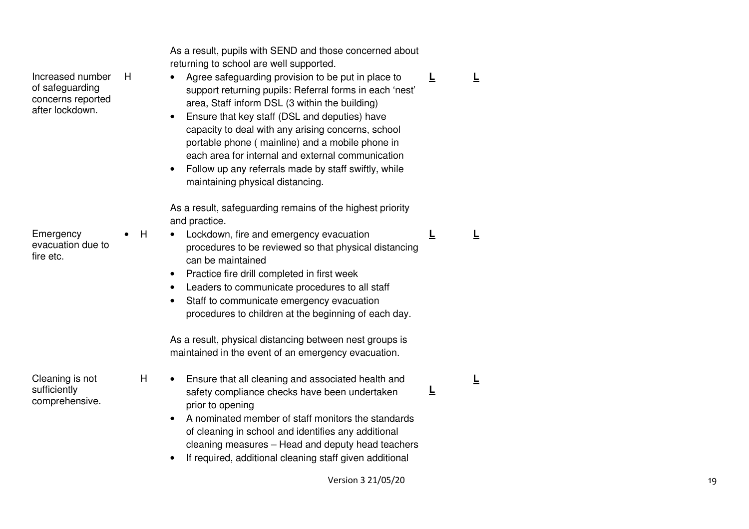| Increased number<br>H<br>of safeguarding<br>concerns reported<br>after lockdown. |   | As a result, pupils with SEND and those concerned about<br>returning to school are well supported.<br>Agree safeguarding provision to be put in place to<br>support returning pupils: Referral forms in each 'nest'<br>area, Staff inform DSL (3 within the building)<br>Ensure that key staff (DSL and deputies) have<br>capacity to deal with any arising concerns, school<br>portable phone (mainline) and a mobile phone in<br>each area for internal and external communication<br>Follow up any referrals made by staff swiftly, while<br>maintaining physical distancing. | Ē | ╚ |
|----------------------------------------------------------------------------------|---|----------------------------------------------------------------------------------------------------------------------------------------------------------------------------------------------------------------------------------------------------------------------------------------------------------------------------------------------------------------------------------------------------------------------------------------------------------------------------------------------------------------------------------------------------------------------------------|---|---|
| Emergency<br>evacuation due to<br>fire etc.                                      | H | As a result, safeguarding remains of the highest priority<br>and practice.<br>Lockdown, fire and emergency evacuation<br>procedures to be reviewed so that physical distancing<br>can be maintained<br>Practice fire drill completed in first week<br>٠<br>Leaders to communicate procedures to all staff<br>٠<br>Staff to communicate emergency evacuation<br>procedures to children at the beginning of each day.                                                                                                                                                              | ╘ | ╚ |
| Cleaning is not<br>sufficiently<br>comprehensive.                                | Н | As a result, physical distancing between nest groups is<br>maintained in the event of an emergency evacuation.<br>Ensure that all cleaning and associated health and<br>safety compliance checks have been undertaken<br>prior to opening<br>A nominated member of staff monitors the standards<br>of cleaning in school and identifies any additional<br>cleaning measures - Head and deputy head teachers<br>If required, additional cleaning staff given additional                                                                                                           | ╘ | ╚ |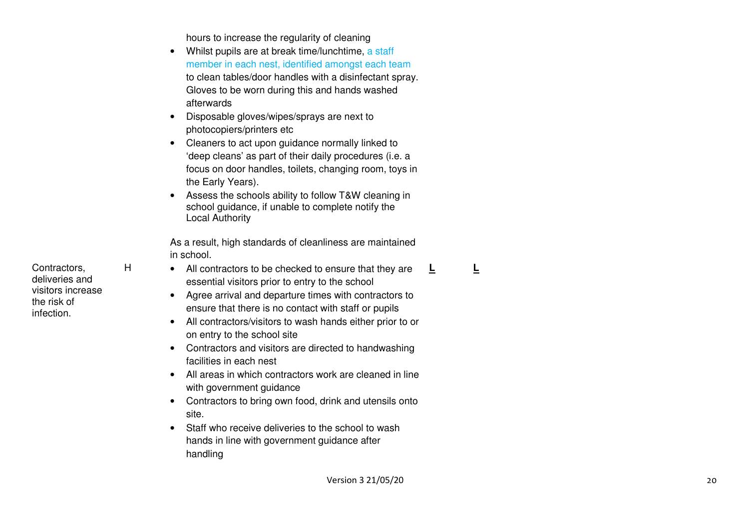hours to increase the regularity of cleaning

- Whilst pupils are at break time/lunchtime, a staff member in each nest, identified amongst each team to clean tables/door handles with a disinfectant spray. Gloves to be worn during this and hands washed afterwards
- Disposable gloves/wipes/sprays are next to photocopiers/printers etc
- Cleaners to act upon guidance normally linked to 'deep cleans' as part of their daily procedures (i.e. a focus on door handles, toilets, changing room, toys in the Early Years).
- Assess the schools ability to follow T&W cleaning in school quidance, if unable to complete notify the Local Authority

As a result, high standards of cleanliness are maintained in school.

- H All contractors to be checked to ensure that they are essential visitors prior to entry to the school
	- Agree arrival and departure times with contractors to ensure that there is no contact with staff or pupils
	- All contractors/visitors to wash hands either prior to or on entry to the school site
	- Contractors and visitors are directed to handwashing facilities in each nest
	- All areas in which contractors work are cleaned in line with government guidance
	- Contractors to bring own food, drink and utensils onto site.
	- Staff who receive deliveries to the school to washhands in line with government guidance after handling

**L L**

Contractors, deliveries and visitors increase the risk of infection.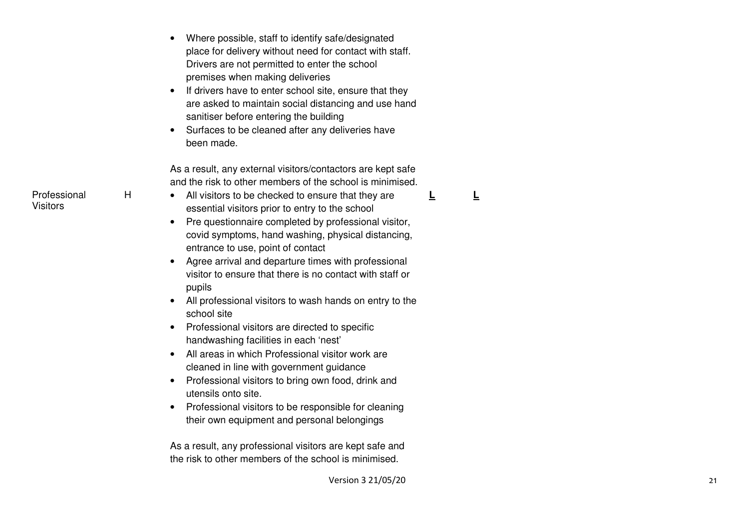|   | Where possible, staff to identify safe/designated<br>place for delivery without need for contact with staff.<br>Drivers are not permitted to enter the school<br>premises when making deliveries<br>If drivers have to enter school site, ensure that they<br>are asked to maintain social distancing and use hand<br>sanitiser before entering the building<br>Surfaces to be cleaned after any deliveries have<br>been made. |
|---|--------------------------------------------------------------------------------------------------------------------------------------------------------------------------------------------------------------------------------------------------------------------------------------------------------------------------------------------------------------------------------------------------------------------------------|
|   | As a result, any external visitors/contactors are kept safe<br>and the risk to other members of the school is minimised.                                                                                                                                                                                                                                                                                                       |
| H | All visitors to be checked to ensure that they are<br>essential visitors prior to entry to the school                                                                                                                                                                                                                                                                                                                          |
|   | Pre questionnaire completed by professional visitor,<br>$\bullet$<br>covid symptoms, hand washing, physical distancing,<br>entrance to use, point of contact                                                                                                                                                                                                                                                                   |
|   | Agree arrival and departure times with professional<br>$\bullet$<br>visitor to ensure that there is no contact with staff or<br>pupils                                                                                                                                                                                                                                                                                         |
|   | All professional visitors to wash hands on entry to the<br>school site                                                                                                                                                                                                                                                                                                                                                         |
|   | Professional visitors are directed to specific<br>handwashing facilities in each 'nest'                                                                                                                                                                                                                                                                                                                                        |
|   | All areas in which Professional visitor work are<br>cleaned in line with government guidance                                                                                                                                                                                                                                                                                                                                   |
|   | Professional visitors to bring own food, drink and<br>$\bullet$<br>utensils onto site.                                                                                                                                                                                                                                                                                                                                         |
|   | Professional visitors to be responsible for cleaning<br>٠<br>their own equipment and personal belongings                                                                                                                                                                                                                                                                                                                       |
|   | As a result, any professional visitors are kept safe and<br>the risk to other members of the school is minimised.                                                                                                                                                                                                                                                                                                              |

 $\mathbf{L}$ 

**L L**

#### Professional Visitors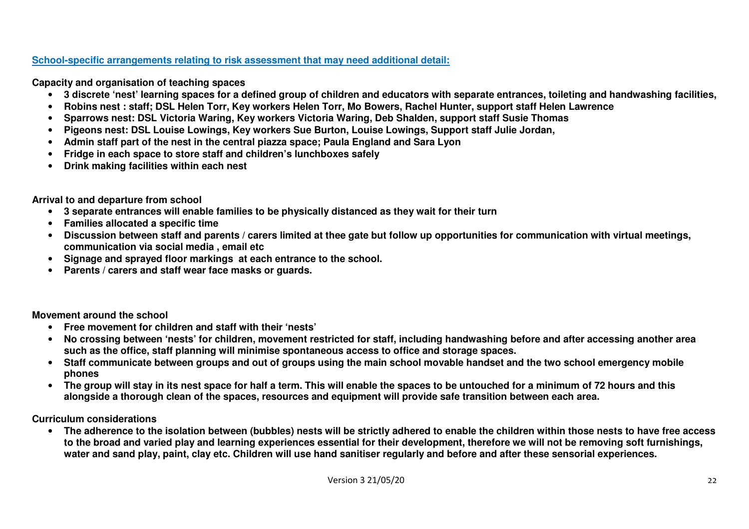# **School-specific arrangements relating to risk assessment that may need additional detail:**

**Capacity and organisation of teaching spaces** 

- **3 discrete 'nest' learning spaces for a defined group of children and educators with separate entrances, toileting and handwashing facilities,**
- •**Robins nest : staff; DSL Helen Torr, Key workers Helen Torr, Mo Bowers, Rachel Hunter, support staff Helen Lawrence**
- •**Sparrows nest: DSL Victoria Waring, Key workers Victoria Waring, Deb Shalden, support staff Susie Thomas**
- •**Pigeons nest: DSL Louise Lowings, Key workers Sue Burton, Louise Lowings, Support staff Julie Jordan,**
- •**Admin staff part of the nest in the central piazza space; Paula England and Sara Lyon**
- •**Fridge in each space to store staff and children's lunchboxes safely**
- •**Drink making facilities within each nest**

**Arrival to and departure from school** 

- **3 separate entrances will enable families to be physically distanced as they wait for their turn**
- **Families allocated a specific time**
- **Discussion between staff and parents / carers limited at thee gate but follow up opportunities for communication with virtual meetings, communication via social media , email etc**
- **Signage and sprayed floor markings at each entrance to the school.**
- **Parents / carers and staff wear face masks or guards.**

**Movement around the school** 

- **Free movement for children and staff with their 'nests'**
- **No crossing between 'nests' for children, movement restricted for staff, including handwashing before and after accessing another area such as the office, staff planning will minimise spontaneous access to office and storage spaces.**
- **Staff communicate between groups and out of groups using the main school movable handset and the two school emergency mobile phones**
- **The group will stay in its nest space for half a term. This will enable the spaces to be untouched for a minimum of 72 hours and this alongside a thorough clean of the spaces, resources and equipment will provide safe transition between each area.**

**Curriculum considerations** 

 • **The adherence to the isolation between (bubbles) nests will be strictly adhered to enable the children within those nests to have free access to the broad and varied play and learning experiences essential for their development, therefore we will not be removing soft furnishings, water and sand play, paint, clay etc. Children will use hand sanitiser regularly and before and after these sensorial experiences.**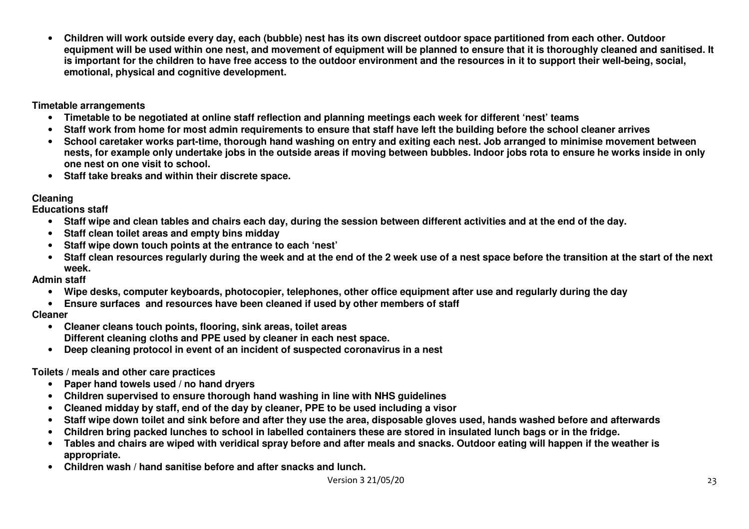• **Children will work outside every day, each (bubble) nest has its own discreet outdoor space partitioned from each other. Outdoor equipment will be used within one nest, and movement of equipment will be planned to ensure that it is thoroughly cleaned and sanitised. It is important for the children to have free access to the outdoor environment and the resources in it to support their well-being, social, emotional, physical and cognitive development.** 

**Timetable arrangements** 

- **Timetable to be negotiated at online staff reflection and planning meetings each week for different 'nest' teams**
- •**Staff work from home for most admin requirements to ensure that staff have left the building before the school cleaner arrives**
- **School caretaker works part-time, thorough hand washing on entry and exiting each nest. Job arranged to minimise movement between nests, for example only undertake jobs in the outside areas if moving between bubbles. Indoor jobs rota to ensure he works inside in only one nest on one visit to school.**
- **Staff take breaks and within their discrete space.**

# **Cleaning**

**Educations staff** 

- **Staff wipe and clean tables and chairs each day, during the session between different activities and at the end of the day.**
- •**Staff clean toilet areas and empty bins midday**
- **Staff wipe down touch points at the entrance to each 'nest'**
- **Staff clean resources regularly during the week and at the end of the 2 week use of a nest space before the transition at the start of the next week.**

## **Admin staff**

- **Wipe desks, computer keyboards, photocopier, telephones, other office equipment after use and regularly during the day**
- **Ensure surfaces and resources have been cleaned if used by other members of staff**

## **Cleaner**

- **Cleaner cleans touch points, flooring, sink areas, toilet areas Different cleaning cloths and PPE used by cleaner in each nest space.**
- **Deep cleaning protocol in event of an incident of suspected coronavirus in a nest**

## **Toilets / meals and other care practices**

- **Paper hand towels used / no hand dryers**
- **Children supervised to ensure thorough hand washing in line with NHS guidelines**
- **Cleaned midday by staff, end of the day by cleaner, PPE to be used including a visor**
- •**Staff wipe down toilet and sink before and after they use the area, disposable gloves used, hands washed before and afterwards**
- •**Children bring packed lunches to school in labelled containers these are stored in insulated lunch bags or in the fridge.**
- **Tables and chairs are wiped with veridical spray before and after meals and snacks. Outdoor eating will happen if the weather is appropriate.**
- **Children wash / hand sanitise before and after snacks and lunch.**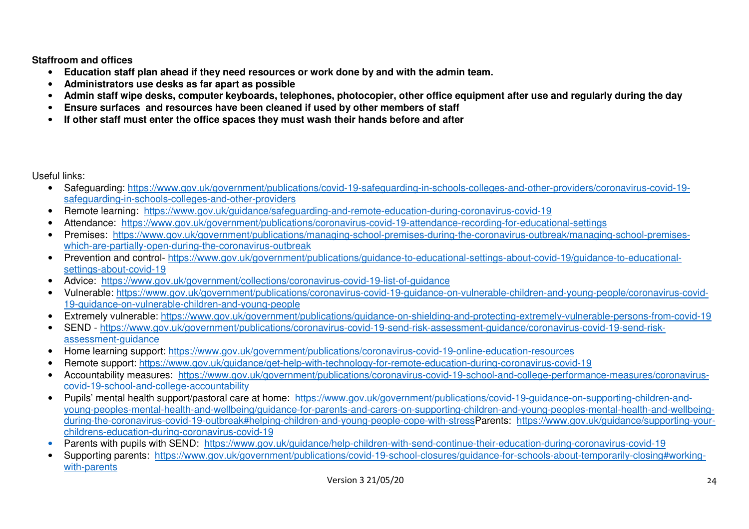**Staffroom and offices** 

- **Education staff plan ahead if they need resources or work done by and with the admin team.**
- •**Administrators use desks as far apart as possible**
- •**Admin staff wipe desks, computer keyboards, telephones, photocopier, other office equipment after use and regularly during the day**
- •**Ensure surfaces and resources have been cleaned if used by other members of staff**
- •**If other staff must enter the office spaces they must wash their hands before and after**

Useful links:

- Safeguarding: https://www.gov.uk/government/publications/covid-19-safeguarding-in-schools-colleges-and-other-providers/coronavirus-covid-19safeguarding-in-schools-colleges-and-other-providers
- Remote learning: https://www.gov.uk/guidance/safeguarding-and-remote-education-during-coronavirus-covid-19
- Attendance: https://www.gov.uk/government/publications/coronavirus-covid-19-attendance-recording-for-educational-settings
- Premises: https://www.gov.uk/government/publications/managing-school-premises-during-the-coronavirus-outbreak/managing-school-premiseswhich-are-partially-open-during-the-coronavirus-outbreak
- Prevention and control- https://www.gov.uk/government/publications/guidance-to-educational-settings-about-covid-19/guidance-to-educationalsettings-about-covid-19
- Advice: https://www.gov.uk/government/collections/coronavirus-covid-19-list-of-guidance
- Vulnerable: https://www.gov.uk/government/publications/coronavirus-covid-19-guidance-on-vulnerable-children-and-young-people/coronavirus-covid-19-guidance-on-vulnerable-children-and-young-people
- Extremely vulnerable: https://www.gov.uk/government/publications/guidance-on-shielding-and-protecting-extremely-vulnerable-persons-from-covid-19
- SEND https://www.gov.uk/government/publications/coronavirus-covid-19-send-risk-assessment-guidance/coronavirus-covid-19-send-riskassessment-guidance
- Home learning support: https://www.gov.uk/government/publications/coronavirus-covid-19-online-education-resources
- Remote support: https://www.gov.uk/guidance/get-help-with-technology-for-remote-education-during-coronavirus-covid-19
- Accountability measures: https://www.gov.uk/government/publications/coronavirus-covid-19-school-and-college-performance-measures/coronaviruscovid-19-school-and-college-accountability
- Pupils' mental health support/pastoral care at home: https://www.gov.uk/government/publications/covid-19-guidance-on-supporting-children-andyoung-peoples-mental-health-and-wellbeing/guidance-for-parents-and-carers-on-supporting-children-and-young-peoples-mental-health-and-wellbeingduring-the-coronavirus-covid-19-outbreak#helping-children-and-young-people-cope-with-stressParents: https://www.gov.uk/guidance/supporting-yourchildrens-education-during-coronavirus-covid-19
- **•** Parents with pupils with SEND: https://www.gov.uk/guidance/help-children-with-send-continue-their-education-during-coronavirus-covid-19 •
- Supporting parents: https://www.gov.uk/government/publications/covid-19-school-closures/guidance-for-schools-about-temporarily-closing#workingwith-parents